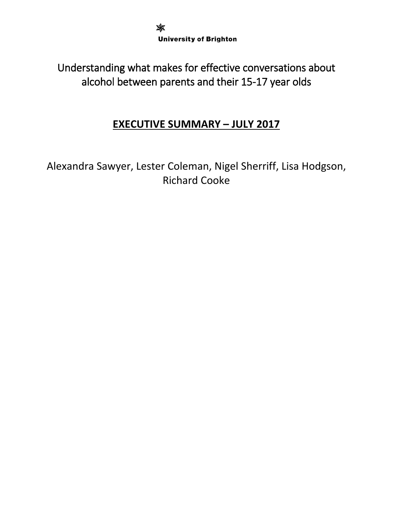✖ **University of Brighton** 

Understanding what makes for effective conversations about alcohol between parents and their 15-17 year olds

# **EXECUTIVE SUMMARY – JULY 2017**

Alexandra Sawyer, Lester Coleman, Nigel Sherriff, Lisa Hodgson, Richard Cooke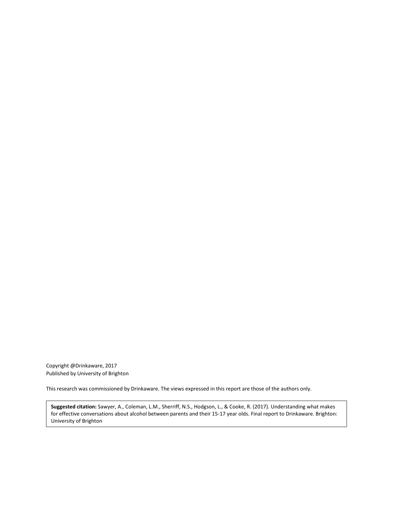Copyright @Drinkaware, 2017 Published by University of Brighton

This research was commissioned by Drinkaware. The views expressed in this report are those of the authors only.

**Suggested citation:** Sawyer, A., Coleman, L.M., Sherriff, N.S., Hodgson, L., & Cooke, R. (2017). Understanding what makes for effective conversations about alcohol between parents and their 15-17 year olds. Final report to Drinkaware. Brighton: University of Brighton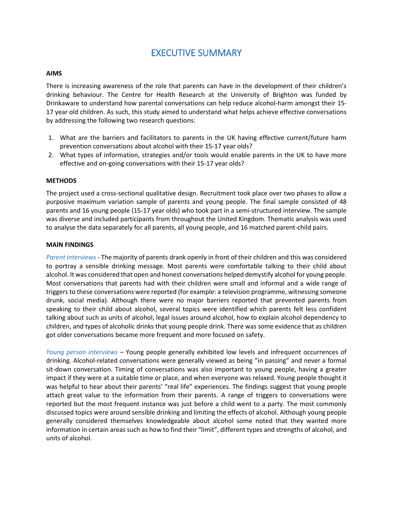# EXECUTIVE SUMMARY

### **AIMS**

There is increasing awareness of the role that parents can have in the development of their children's drinking behaviour. The Centre for Health Research at the University of Brighton was funded by Drinkaware to understand how parental conversations can help reduce alcohol-harm amongst their 15- 17 year old children. As such, this study aimed to understand what helps achieve effective conversations by addressing the following two research questions:

- 1. What are the barriers and facilitators to parents in the UK having effective current/future harm prevention conversations about alcohol with their 15-17 year olds?
- 2. What types of information, strategies and/or tools would enable parents in the UK to have more effective and on-going conversations with their 15-17 year olds?

#### **METHODS**

The project used a cross-sectional qualitative design. Recruitment took place over two phases to allow a purposive maximum variation sample of parents and young people. The final sample consisted of 48 parents and 16 young people (15-17 year olds) who took part in a semi-structured interview. The sample was diverse and included participants from throughout the United Kingdom. Thematic analysis was used to analyse the data separately for all parents, all young people, and 16 matched parent-child pairs.

#### **MAIN FINDINGS**

*Parent interviews -* The majority of parents drank openly in front of their children and this was considered to portray a sensible drinking message. Most parents were comfortable talking to their child about alcohol. It was considered that open and honest conversations helped demystify alcohol for young people. Most conversations that parents had with their children were small and informal and a wide range of triggers to these conversations were reported (for example: a television programme, witnessing someone drunk, social media). Although there were no major barriers reported that prevented parents from speaking to their child about alcohol, several topics were identified which parents felt less confident talking about such as units of alcohol, legal issues around alcohol, how to explain alcohol dependency to children, and types of alcoholic drinks that young people drink. There was some evidence that as children got older conversations became more frequent and more focused on safety.

*Young person interviews –* Young people generally exhibited low levels and infrequent occurrences of drinking. Alcohol-related conversations were generally viewed as being "in passing" and never a formal sit-down conversation. Timing of conversations was also important to young people, having a greater impact if they were at a suitable time or place, and when everyone was relaxed. Young people thought it was helpful to hear about their parents' "real life" experiences. The findings suggest that young people attach great value to the information from their parents. A range of triggers to conversations were reported but the most frequent instance was just before a child went to a party. The most commonly discussed topics were around sensible drinking and limiting the effects of alcohol. Although young people generally considered themselves knowledgeable about alcohol some noted that they wanted more information in certain areas such as how to find their "limit", different types and strengths of alcohol, and units of alcohol.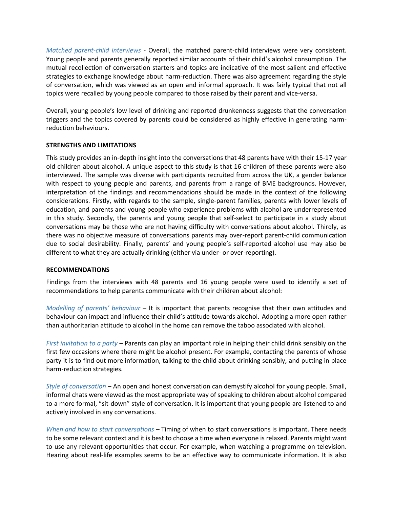*Matched parent-child interviews -* Overall, the matched parent-child interviews were very consistent. Young people and parents generally reported similar accounts of their child's alcohol consumption. The mutual recollection of conversation starters and topics are indicative of the most salient and effective strategies to exchange knowledge about harm-reduction. There was also agreement regarding the style of conversation, which was viewed as an open and informal approach. It was fairly typical that not all topics were recalled by young people compared to those raised by their parent and vice-versa.

Overall, young people's low level of drinking and reported drunkenness suggests that the conversation triggers and the topics covered by parents could be considered as highly effective in generating harmreduction behaviours.

# **STRENGTHS AND LIMITATIONS**

This study provides an in-depth insight into the conversations that 48 parents have with their 15-17 year old children about alcohol. A unique aspect to this study is that 16 children of these parents were also interviewed. The sample was diverse with participants recruited from across the UK, a gender balance with respect to young people and parents, and parents from a range of BME backgrounds. However, interpretation of the findings and recommendations should be made in the context of the following considerations. Firstly, with regards to the sample, single-parent families, parents with lower levels of education, and parents and young people who experience problems with alcohol are underrepresented in this study. Secondly, the parents and young people that self-select to participate in a study about conversations may be those who are not having difficulty with conversations about alcohol. Thirdly, as there was no objective measure of conversations parents may over-report parent-child communication due to social desirability. Finally, parents' and young people's self-reported alcohol use may also be different to what they are actually drinking (either via under- or over-reporting).

# **RECOMMENDATIONS**

Findings from the interviews with 48 parents and 16 young people were used to identify a set of recommendations to help parents communicate with their children about alcohol:

*Modelling of parents' behaviour* – It is important that parents recognise that their own attitudes and behaviour can impact and influence their child's attitude towards alcohol. Adopting a more open rather than authoritarian attitude to alcohol in the home can remove the taboo associated with alcohol.

*First invitation to a party –* Parents can play an important role in helping their child drink sensibly on the first few occasions where there might be alcohol present. For example, contacting the parents of whose party it is to find out more information, talking to the child about drinking sensibly, and putting in place harm-reduction strategies.

*Style of conversation –* An open and honest conversation can demystify alcohol for young people. Small, informal chats were viewed as the most appropriate way of speaking to children about alcohol compared to a more formal, "sit-down" style of conversation. It is important that young people are listened to and actively involved in any conversations.

*When and how to start conversations –* Timing of when to start conversations is important. There needs to be some relevant context and it is best to choose a time when everyone is relaxed. Parents might want to use any relevant opportunities that occur. For example, when watching a programme on television. Hearing about real-life examples seems to be an effective way to communicate information. It is also